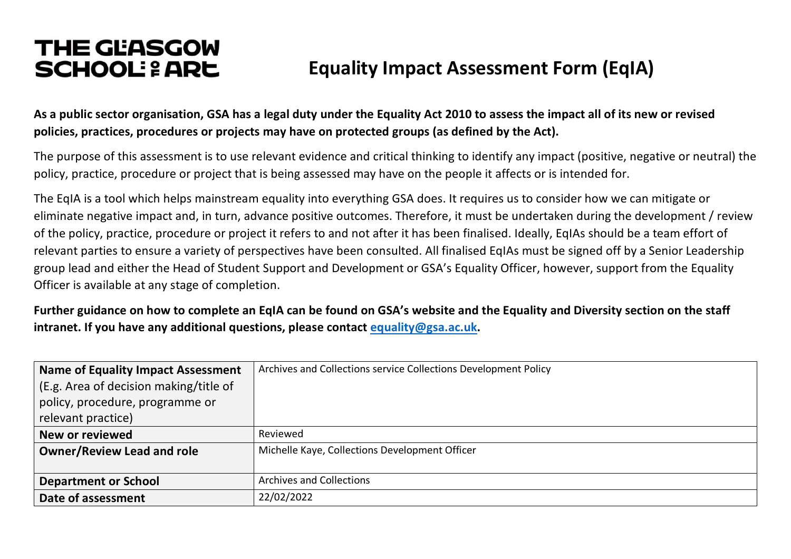# **THE GEASGOW SCHOOL: 2 ARE** Equality Impact Assessment Form (EqIA)

**As a public sector organisation, GSA has a legal duty under the Equality Act 2010 to assess the impact all of its new or revised policies, practices, procedures or projects may have on protected groups (as defined by the Act).**

The purpose of this assessment is to use relevant evidence and critical thinking to identify any impact (positive, negative or neutral) the policy, practice, procedure or project that is being assessed may have on the people it affects or is intended for.

The EqIA is a tool which helps mainstream equality into everything GSA does. It requires us to consider how we can mitigate or eliminate negative impact and, in turn, advance positive outcomes. Therefore, it must be undertaken during the development / review of the policy, practice, procedure or project it refers to and not after it has been finalised. Ideally, EqIAs should be a team effort of relevant parties to ensure a variety of perspectives have been consulted. All finalised EqIAs must be signed off by a Senior Leadership group lead and either the Head of Student Support and Development or GSA's Equality Officer, however, support from the Equality Officer is available at any stage of completion.

**Further guidance on how to complete an EqIA can be found on GSA's website and the Equality and Diversity section on the staff intranet. If you have any additional questions, please contact equality@gsa.ac.uk.**

| <b>Name of Equality Impact Assessment</b> | Archives and Collections service Collections Development Policy |
|-------------------------------------------|-----------------------------------------------------------------|
| (E.g. Area of decision making/title of    |                                                                 |
| policy, procedure, programme or           |                                                                 |
| relevant practice)                        |                                                                 |
| New or reviewed                           | Reviewed                                                        |
| <b>Owner/Review Lead and role</b>         | Michelle Kaye, Collections Development Officer                  |
|                                           |                                                                 |
| <b>Department or School</b>               | <b>Archives and Collections</b>                                 |
| Date of assessment                        | 22/02/2022                                                      |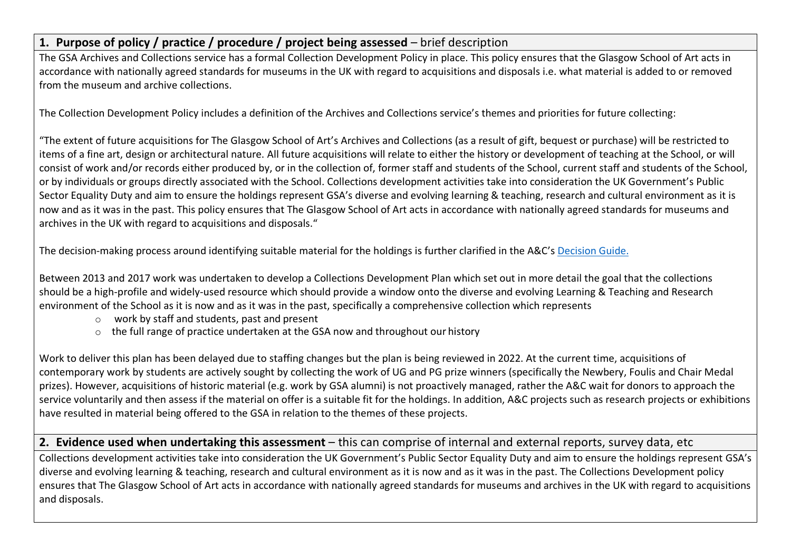## **1. Purpose of policy / practice / procedure / project being assessed** – brief description

The GSA Archives and Collections service has a formal Collection Development Policy in place. This policy ensures that the Glasgow School of Art acts in accordance with nationally agreed standards for museums in the UK with regard to acquisitions and disposals i.e. what material is added to or removed from the museum and archive collections.

The Collection Development Policy includes a definition of the Archives and Collections service's themes and priorities for future collecting:

"The extent of future acquisitions for The Glasgow School of Art's Archives and Collections (as a result of gift, bequest or purchase) will be restricted to items of a fine art, design or architectural nature. All future acquisitions will relate to either the history or development of teaching at the School, or will consist of work and/or records either produced by, or in the collection of, former staff and students of the School, current staff and students of the School, or by individuals or groups directly associated with the School. Collections development activities take into consideration the UK Government's Public Sector Equality Duty and aim to ensure the holdings represent GSA's diverse and evolving learning & teaching, research and cultural environment as it is now and as it was in the past. This policy ensures that The Glasgow School of Art acts in accordance with nationally agreed standards for museums and archives in the UK with regard to acquisitions and disposals."

The decision-making process around identifying suitable material for the holdings is further clarified in the A&C's Decision Guide.

Between 2013 and 2017 work was undertaken to develop a Collections Development Plan which set out in more detail the goal that the collections should be a high-profile and widely-used resource which should provide a window onto the diverse and evolving Learning & Teaching and Research environment of the School as it is now and as it was in the past, specifically a comprehensive collection which represents

- o work by staff and students, past and present
- o the full range of practice undertaken at the GSA now and throughout our history

Work to deliver this plan has been delayed due to staffing changes but the plan is being reviewed in 2022. At the current time, acquisitions of contemporary work by students are actively sought by collecting the work of UG and PG prize winners (specifically the Newbery, Foulis and Chair Medal prizes). However, acquisitions of historic material (e.g. work by GSA alumni) is not proactively managed, rather the A&C wait for donors to approach the service voluntarily and then assess if the material on offer is a suitable fit for the holdings. In addition, A&C projects such as research projects or exhibitions have resulted in material being offered to the GSA in relation to the themes of these projects.

## **2. Evidence used when undertaking this assessment** – this can comprise of internal and external reports, survey data, etc

Collections development activities take into consideration the UK Government's Public Sector Equality Duty and aim to ensure the holdings represent GSA's diverse and evolving learning & teaching, research and cultural environment as it is now and as it was in the past. The Collections Development policy ensures that The Glasgow School of Art acts in accordance with nationally agreed standards for museums and archives in the UK with regard to acquisitions and disposals.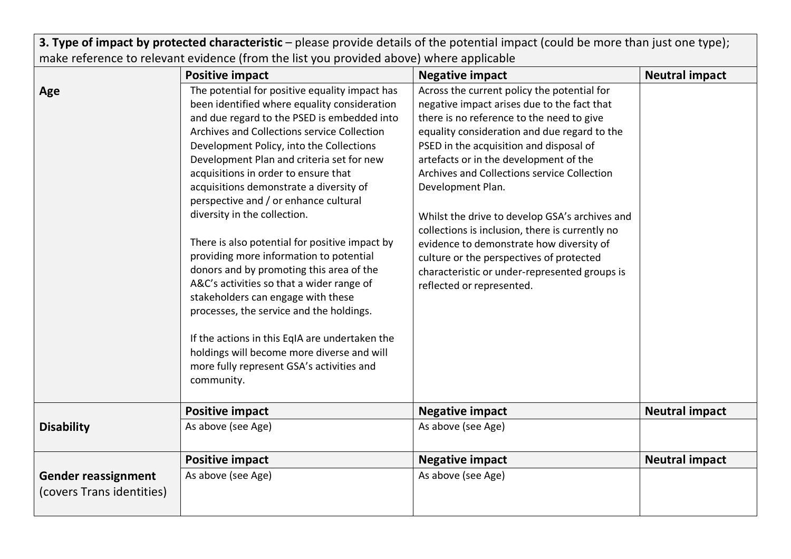**3. Type of impact by protected characteristic** – please provide details of the potential impact (could be more than just one type); make reference to relevant evidence (from the list you provided above) where applicable

|                                                         | <b>Positive impact</b>                                                                                                                                                                                                                                                                                                                                                                                                                                                                                                                                                                                                                                                                                                                                                                                                                                                               | <b>Negative impact</b>                                                                                                                                                                                                                                                                                                                                                                                                                                                                                                                                                                                                      | <b>Neutral impact</b> |
|---------------------------------------------------------|--------------------------------------------------------------------------------------------------------------------------------------------------------------------------------------------------------------------------------------------------------------------------------------------------------------------------------------------------------------------------------------------------------------------------------------------------------------------------------------------------------------------------------------------------------------------------------------------------------------------------------------------------------------------------------------------------------------------------------------------------------------------------------------------------------------------------------------------------------------------------------------|-----------------------------------------------------------------------------------------------------------------------------------------------------------------------------------------------------------------------------------------------------------------------------------------------------------------------------------------------------------------------------------------------------------------------------------------------------------------------------------------------------------------------------------------------------------------------------------------------------------------------------|-----------------------|
| Age                                                     | The potential for positive equality impact has<br>been identified where equality consideration<br>and due regard to the PSED is embedded into<br>Archives and Collections service Collection<br>Development Policy, into the Collections<br>Development Plan and criteria set for new<br>acquisitions in order to ensure that<br>acquisitions demonstrate a diversity of<br>perspective and / or enhance cultural<br>diversity in the collection.<br>There is also potential for positive impact by<br>providing more information to potential<br>donors and by promoting this area of the<br>A&C's activities so that a wider range of<br>stakeholders can engage with these<br>processes, the service and the holdings.<br>If the actions in this EqIA are undertaken the<br>holdings will become more diverse and will<br>more fully represent GSA's activities and<br>community. | Across the current policy the potential for<br>negative impact arises due to the fact that<br>there is no reference to the need to give<br>equality consideration and due regard to the<br>PSED in the acquisition and disposal of<br>artefacts or in the development of the<br>Archives and Collections service Collection<br>Development Plan.<br>Whilst the drive to develop GSA's archives and<br>collections is inclusion, there is currently no<br>evidence to demonstrate how diversity of<br>culture or the perspectives of protected<br>characteristic or under-represented groups is<br>reflected or represented. |                       |
|                                                         | <b>Positive impact</b>                                                                                                                                                                                                                                                                                                                                                                                                                                                                                                                                                                                                                                                                                                                                                                                                                                                               | <b>Negative impact</b>                                                                                                                                                                                                                                                                                                                                                                                                                                                                                                                                                                                                      | <b>Neutral impact</b> |
| <b>Disability</b>                                       | As above (see Age)                                                                                                                                                                                                                                                                                                                                                                                                                                                                                                                                                                                                                                                                                                                                                                                                                                                                   | As above (see Age)                                                                                                                                                                                                                                                                                                                                                                                                                                                                                                                                                                                                          |                       |
|                                                         | <b>Positive impact</b>                                                                                                                                                                                                                                                                                                                                                                                                                                                                                                                                                                                                                                                                                                                                                                                                                                                               | <b>Negative impact</b>                                                                                                                                                                                                                                                                                                                                                                                                                                                                                                                                                                                                      | <b>Neutral impact</b> |
| <b>Gender reassignment</b><br>(covers Trans identities) | As above (see Age)                                                                                                                                                                                                                                                                                                                                                                                                                                                                                                                                                                                                                                                                                                                                                                                                                                                                   | As above (see Age)                                                                                                                                                                                                                                                                                                                                                                                                                                                                                                                                                                                                          |                       |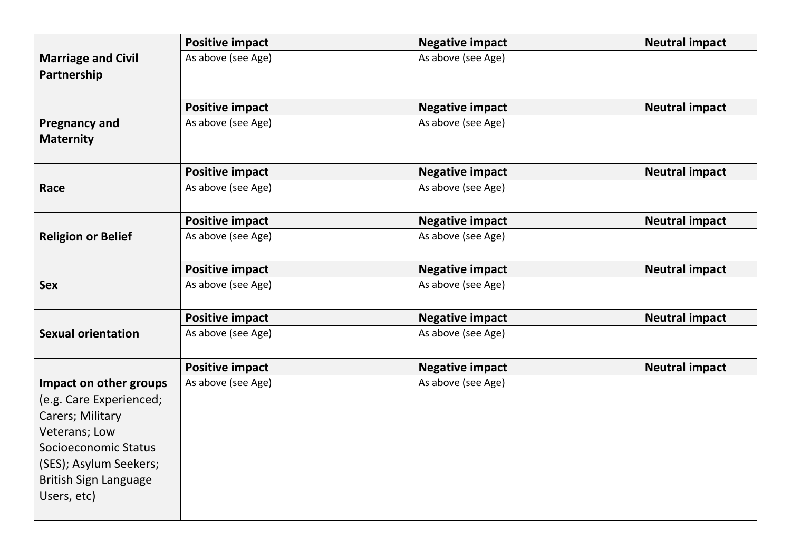|                                                                                                                                                                                         | <b>Positive impact</b> | <b>Negative impact</b> | <b>Neutral impact</b> |
|-----------------------------------------------------------------------------------------------------------------------------------------------------------------------------------------|------------------------|------------------------|-----------------------|
| <b>Marriage and Civil</b><br>Partnership                                                                                                                                                | As above (see Age)     | As above (see Age)     |                       |
|                                                                                                                                                                                         | <b>Positive impact</b> | <b>Negative impact</b> | <b>Neutral impact</b> |
| <b>Pregnancy and</b><br><b>Maternity</b>                                                                                                                                                | As above (see Age)     | As above (see Age)     |                       |
|                                                                                                                                                                                         | <b>Positive impact</b> | <b>Negative impact</b> | <b>Neutral impact</b> |
| Race                                                                                                                                                                                    | As above (see Age)     | As above (see Age)     |                       |
|                                                                                                                                                                                         | <b>Positive impact</b> | <b>Negative impact</b> | <b>Neutral impact</b> |
| <b>Religion or Belief</b>                                                                                                                                                               | As above (see Age)     | As above (see Age)     |                       |
|                                                                                                                                                                                         | <b>Positive impact</b> | <b>Negative impact</b> | <b>Neutral impact</b> |
| <b>Sex</b>                                                                                                                                                                              | As above (see Age)     | As above (see Age)     |                       |
|                                                                                                                                                                                         | <b>Positive impact</b> | <b>Negative impact</b> | <b>Neutral impact</b> |
| <b>Sexual orientation</b>                                                                                                                                                               | As above (see Age)     | As above (see Age)     |                       |
|                                                                                                                                                                                         | <b>Positive impact</b> | <b>Negative impact</b> | <b>Neutral impact</b> |
| Impact on other groups<br>(e.g. Care Experienced;<br>Carers; Military<br>Veterans; Low<br>Socioeconomic Status<br>(SES); Asylum Seekers;<br><b>British Sign Language</b><br>Users, etc) | As above (see Age)     | As above (see Age)     |                       |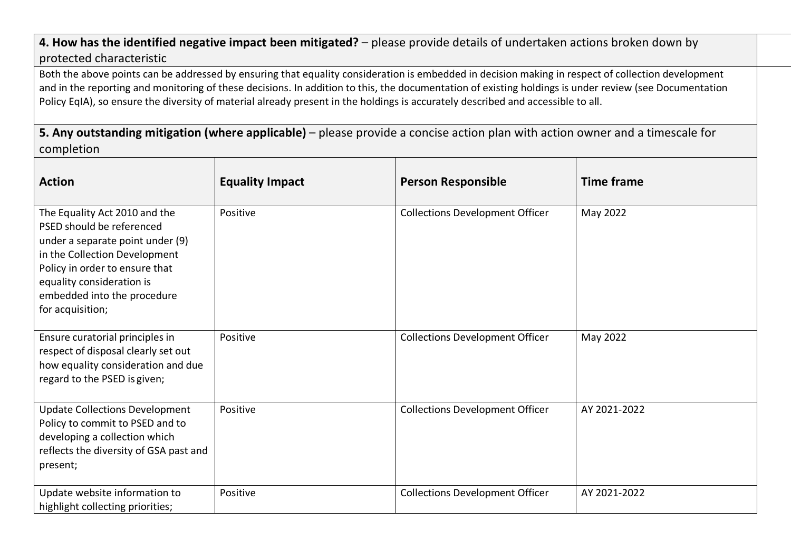## **4. How has the identified negative impact been mitigated?** – please provide details of undertaken actions broken down by protected characteristic

Both the above points can be addressed by ensuring that equality consideration is embedded in decision making in respect of collection development and in the reporting and monitoring of these decisions. In addition to this, the documentation of existing holdings is under review (see Documentation Policy EqIA), so ensure the diversity of material already present in the holdings is accurately described and accessible to all.

**5. Any outstanding mitigation (where applicable)** – please provide a concise action plan with action owner and a timescale for completion

| <b>Action</b>                                                                                                                                                                                                                                     | <b>Equality Impact</b> | <b>Person Responsible</b>              | <b>Time frame</b> |
|---------------------------------------------------------------------------------------------------------------------------------------------------------------------------------------------------------------------------------------------------|------------------------|----------------------------------------|-------------------|
| The Equality Act 2010 and the<br>PSED should be referenced<br>under a separate point under (9)<br>in the Collection Development<br>Policy in order to ensure that<br>equality consideration is<br>embedded into the procedure<br>for acquisition; | Positive               | <b>Collections Development Officer</b> | May 2022          |
| Ensure curatorial principles in<br>respect of disposal clearly set out<br>how equality consideration and due<br>regard to the PSED is given;                                                                                                      | Positive               | <b>Collections Development Officer</b> | May 2022          |
| <b>Update Collections Development</b><br>Policy to commit to PSED and to<br>developing a collection which<br>reflects the diversity of GSA past and<br>present;                                                                                   | Positive               | <b>Collections Development Officer</b> | AY 2021-2022      |
| Update website information to<br>highlight collecting priorities;                                                                                                                                                                                 | Positive               | <b>Collections Development Officer</b> | AY 2021-2022      |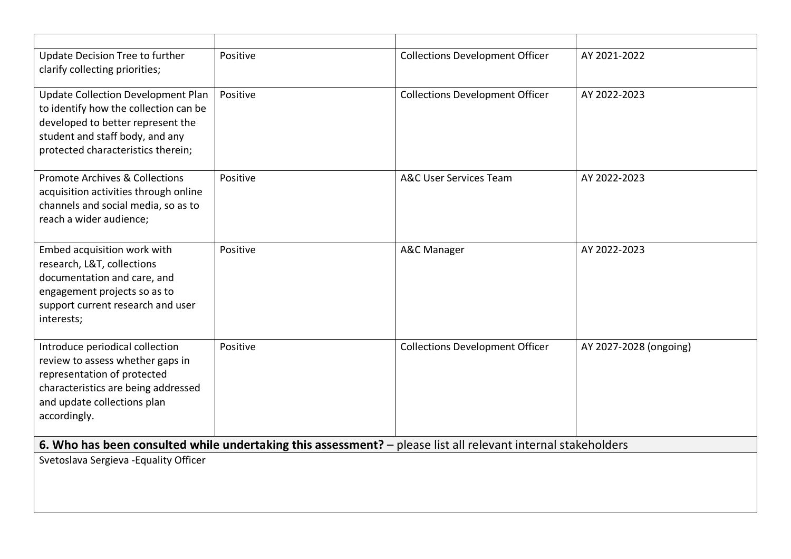| Update Decision Tree to further<br>clarify collecting priorities;                                                                                                                                | Positive | <b>Collections Development Officer</b>                                                                        | AY 2021-2022           |
|--------------------------------------------------------------------------------------------------------------------------------------------------------------------------------------------------|----------|---------------------------------------------------------------------------------------------------------------|------------------------|
| <b>Update Collection Development Plan</b><br>to identify how the collection can be<br>developed to better represent the<br>student and staff body, and any<br>protected characteristics therein; | Positive | <b>Collections Development Officer</b>                                                                        | AY 2022-2023           |
| <b>Promote Archives &amp; Collections</b><br>acquisition activities through online<br>channels and social media, so as to<br>reach a wider audience;                                             | Positive | <b>A&amp;C User Services Team</b>                                                                             | AY 2022-2023           |
| Embed acquisition work with<br>research, L&T, collections<br>documentation and care, and<br>engagement projects so as to<br>support current research and user<br>interests;                      | Positive | A&C Manager                                                                                                   | AY 2022-2023           |
| Introduce periodical collection<br>review to assess whether gaps in<br>representation of protected<br>characteristics are being addressed<br>and update collections plan<br>accordingly.         | Positive | <b>Collections Development Officer</b>                                                                        | AY 2027-2028 (ongoing) |
|                                                                                                                                                                                                  |          | 6. Who has been consulted while undertaking this assessment? - please list all relevant internal stakeholders |                        |
| Svetoslava Sergieva - Equality Officer                                                                                                                                                           |          |                                                                                                               |                        |
|                                                                                                                                                                                                  |          |                                                                                                               |                        |